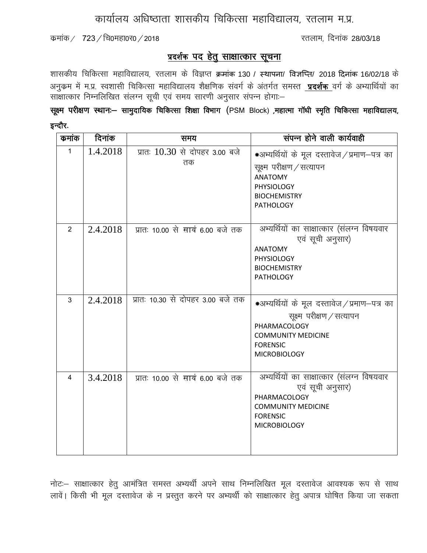## कार्यालय अधिष्ठाता शासकीय चिकित्सा महाविद्यालय, रतलाम म.प्र.

कमांक /  $723$  / चि0महा0र0 / 2018  $\frac{1}{200}$  and the contract of the contract of the 28/03/18

## <u>प्रदर्शक पद हेतु साक्षात्कार सूचना</u>

शासकीय चिकित्सा महाविद्यालय, रतलाम के विज्ञप्त क्रमांक 130 / स्थापना/ विज्ञप्ति/ 2018 दिनांक 16/02/18 के अनुकम में म.प्र. स्वशासी चिकित्सा महाविद्यालय शैक्षणिक संवर्ग के अंतर्गत समस्त**ात्रदर्शक** वर्ग के अभ्यार्थियों का सांसात्कार निम्नलिखित संलग्न सूची एवं समय सारणी अनुसार संपन्न होगा:-

सूक्ष्म परीक्षण स्थानः— सामुदायिक चिकित्सा शिक्षा विभाग (PSM Block) ,महात्मा गॉधी स्मृति चिकित्सा महाविद्यालय, इन्दौर.

| कमांक          | दिनांक   | समय                                  | संपन्न होने वाली कार्यवाही                                                                                                                                        |
|----------------|----------|--------------------------------------|-------------------------------------------------------------------------------------------------------------------------------------------------------------------|
| 1              | 1.4.2018 | प्रातः 10.30 से दोपहर 3.00 बजे<br>तक | *अभ्यर्थियों के मूल दस्तावेज/प्रमाण–पत्र का<br>सूक्ष्म परीक्षण / सत्यापन<br><b>ANATOMY</b><br>PHYSIOLOGY<br><b>BIOCHEMISTRY</b><br><b>PATHOLOGY</b>               |
| 2              | 2.4.2018 | प्रातः 10.00 से सायं 6.00 बजे तक     | अभ्यर्थियों का साक्षात्कार (संलग्न विषयवार<br>एवं सूची अनुसार)<br><b>ANATOMY</b><br>PHYSIOLOGY<br><b>BIOCHEMISTRY</b><br><b>PATHOLOGY</b>                         |
| $\overline{3}$ | 2.4.2018 | प्रातः 10.30 से दोपहर 3.00 बजे तक    | *अभ्यर्थियों के मूल दस्तावेज / प्रमाण–पत्र का<br>सूक्ष्म परीक्षण / सत्यापन<br>PHARMACOLOGY<br><b>COMMUNITY MEDICINE</b><br><b>FORENSIC</b><br><b>MICROBIOLOGY</b> |
| $\overline{4}$ | 3.4.2018 | प्रातः 10.00 से सायं 6.00 बजे तक     | अभ्यर्थियों का साक्षात्कार (संलग्न विषयवार<br>एवं सूची अनुसार)<br>PHARMACOLOGY<br><b>COMMUNITY MEDICINE</b><br><b>FORENSIC</b><br><b>MICROBIOLOGY</b>             |

नोट:– साक्षात्कार हेतू आमंत्रित समस्त अभ्यर्थी अपने साथ निम्नलिखित मूल दस्तावेज आवश्यक रूप से साथ लावें। किसी भी मूल दस्तावेज के न प्रस्तुत करने पर अभ्यर्थी को साक्षात्कार हेतू अपात्र घोषित किया जा सकता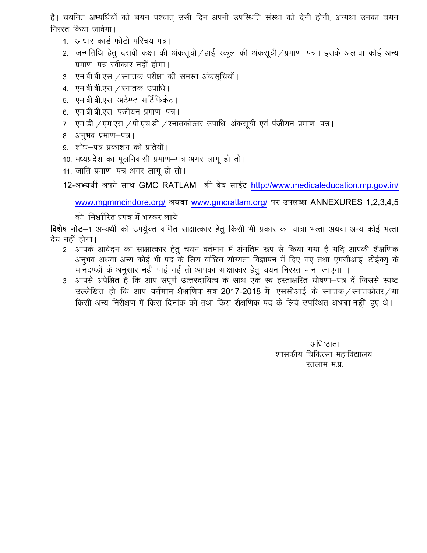हैं। चयनित अभ्यर्थियों को चयन पश्चात उसी दिन अपनी उपस्थिति संस्था को देनी होगी, अन्यथा उनका चयन निरस्त किया जावेगा।

- 1. आधार कार्ड फोटो परिचय पत्र।
- 2. जन्मतिथि हेतु दसवीं कक्षा की अंकसूची / हाई स्कूल की अंकसूची / प्रमाण-पत्र। इसके अलावा कोई अन्य प्रमाण-पत्र स्वीकार नहीं होगा।
- 3. एम.बी.बी.एस. / स्नातक परीक्षा की समस्त अंकसूचियॉ।
- 4. एम.बी.बी.एस. / स्नातक उपाधि।
- 5. ) एम.बी.बी.एस. अटेम्प्ट सर्टिफिकेट।
- 6. एम.बी.बी.एस. पंजीयन प्रमाण-पत्र।
- 7. एम.डी. / एम.एस. / पी.एच.डी. / स्नातकोत्तर उपाधि, अंकसूची एवं पंजीयन प्रमाण-पत्र।
- 8. अनुभव प्रमाण-पत्र।
- 9. शोध–पत्र प्रकाशन की प्रतियाँ |
- 10. मध्यप्रदेश का मूलनिवासी प्रमाण-पत्र अगर लागू हो तो।
- 11. जाति प्रमाण-पत्र अगर लागू हो तो।

12-अभ्यर्थी अपने सार्थ GMC RATLAM की वेब साईट <http://www.medicaleducation.mp.gov.in/>

[www.mgmmcindore.org/](http://www.mgmmcindore.org/) अर्थवा [www.gmcratlam.org/](http://www.gmcratlam.org/) पर उपलब्ध ANNEXURES 1,2,3,4,5

को निर्धारित प्रपत्र में भरकर लाये

**विशेष नोट**–1 अभ्यर्थी को उपर्यूक्त वर्णित साक्षात्कार हेतू किसी भी प्रकार का यात्रा भत्ता अथवा अन्य कोई भत्ता देय नहीं होगा।

- 2 आपके आवेदन का साक्षात्कार हेतु चयन वर्तमान में अंनतिम रूप से किया गया है यदि आपकी शैक्षणिक अनुभव अथवा अन्य कोई भी पद के लिय वांछित योग्यता विज्ञापन में दिए गए तथा एमसीआई–टीईक्यु के मानदण्डों के अनुसार नही पाई गई तो आपका साक्षाकार हेतू चयन निरस्त माना जाएगा ।
- 3 आपसे अपेक्षित है कि आप संपूर्ण उत्तरदायित्व के साथ एक स्व हस्ताक्षरित घोषणा-पत्र दें जिससे स्पष्ट उल्लेखित हो कि आप वर्तमान शैक्षणिक सत्र 2017-2018 में एससीआई के स्नातक/स्नातक्रोतर/या किसी अन्य निरीक्षण में किस दिनांक को तथा किस शैक्षणिक पद के लिये उपस्थित अथवा नहीं हुए थे।

अधिष्ठाता शासकीय चिकित्सा महाविद्यालय. रतलाम म.प्र.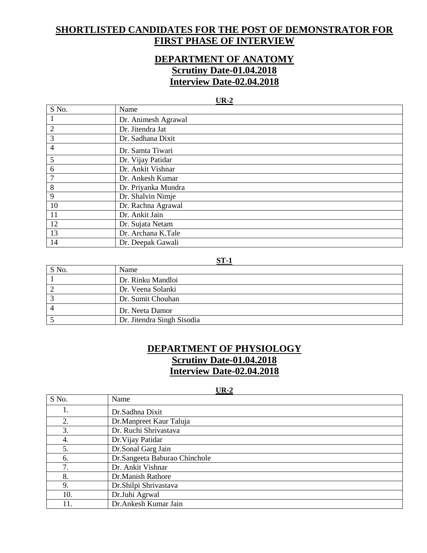## **SHORTLISTED CANDIDATES FOR THE POST OF DEMONSTRATOR FOR FIRST PHASE OF INTERVIEW**

## **DEPARTMENT OF ANATOMY Scrutiny Date-01.04.2018 Interview Date-02.04.2018**

#### **UR-2**

| S No.          | Name                |
|----------------|---------------------|
|                | Dr. Animesh Agrawal |
| $\overline{2}$ | Dr. Jitendra Jat    |
| 3              | Dr. Sadhana Dixit   |
| 4              | Dr. Samta Tiwari    |
| 5              | Dr. Vijay Patidar   |
| 6              | Dr. Ankit Vishnar   |
| 7              | Dr. Ankesh Kumar    |
| 8              | Dr. Priyanka Mundra |
| 9              | Dr. Shalvin Nimje   |
| 10             | Dr. Rachna Agrawal  |
| 11             | Dr. Ankit Jain      |
| 12             | Dr. Sujata Netam    |
| 13             | Dr. Archana K.Tale  |
| 14             | Dr. Deepak Gawali   |

#### **ST-1**

| S No. | Name                       |
|-------|----------------------------|
|       | Dr. Rinku Mandloi          |
|       | Dr. Veena Solanki          |
|       | Dr. Sumit Chouhan          |
|       | Dr. Neeta Damor            |
|       | Dr. Jitendra Singh Sisodia |

## **DEPARTMENT OF PHYSIOLOGY Scrutiny Date-01.04.2018 Interview Date-02.04.2018**

#### **UR-2**

| S No. | Name                          |
|-------|-------------------------------|
| ı.    | Dr.Sadhna Dixit               |
| 2.    | Dr.Manpreet Kaur Taluja       |
| 3.    | Dr. Ruchi Shrivastava         |
| 4.    | Dr. Vijay Patidar             |
| 5.    | Dr.Sonal Garg Jain            |
| 6.    | Dr.Sangeeta Baburao Chinchole |
| 7.    | Dr. Ankit Vishnar             |
| 8.    | Dr.Manish Rathore             |
| 9.    | Dr.Shilpi Shrivastava         |
| 10.   | Dr.Juhi Agrwal                |
| 11.   | Dr.Ankesh Kumar Jain          |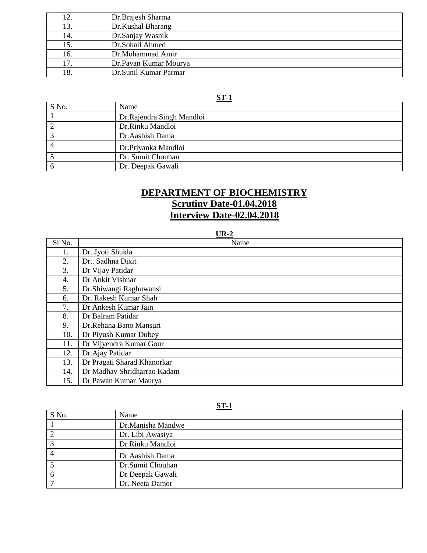| 12. | Dr. Brajesh Sharma    |
|-----|-----------------------|
| 13. | Dr.Kushal Bharang     |
| 14. | Dr.Sanjay Wasnik      |
| 15. | Dr.Sohail Ahmed       |
| 16. | Dr.Mohammad Amir      |
| 17. | Dr.Pavan Kumar Mourya |
| 18. | Dr.Sunil Kumar Parmar |

### **ST-1**

| S No. | Name                       |
|-------|----------------------------|
|       | Dr. Rajendra Singh Mandloi |
|       | Dr.Rinku Mandloi           |
|       | Dr.Aashish Dama            |
|       | Dr.Priyanka Mandloi        |
|       | Dr. Sumit Chouhan          |
|       | Dr. Deepak Gawali          |

## **DEPARTMENT OF BIOCHEMISTRY Scrutiny Date-01.04.2018 Interview Date-02.04.2018**

#### **UR-2**

| Sl No. | Name                        |
|--------|-----------------------------|
| 1.     | Dr. Jyoti Shukla            |
| 2.     | Dr., Sadhna Dixit           |
| 3.     | Dr Vijay Patidar            |
| 4.     | Dr Ankit Vishnar            |
| 5.     | Dr.Shiwangi Raghuwansi      |
| 6.     | Dr. Rakesh Kumar Shah       |
| 7.     | Dr Ankesh Kumar Jain        |
| 8.     | Dr Balram Patidar           |
| 9.     | Dr.Rehana Bano Mansuri      |
| 10.    | Dr Piyush Kumar Dubey       |
| 11.    | Dr Vijyendra Kumar Gour     |
| 12.    | Dr.Ajay Patidar             |
| 13.    | Dr Pragati Sharad Khanorkar |
| 14.    | Dr Madhav Shridharrao Kadam |
| 15.    | Dr Pawan Kumar Maurya       |

| S No.       | ᄓᅩᅩ<br>Name       |
|-------------|-------------------|
|             | Dr.Manisha Mandwe |
|             | Dr. Libi Awasiya  |
|             | Dr Rinku Mandloi  |
|             | Dr Aashish Dama   |
|             | Dr.Sumit Chouhan  |
| $\mathbf 0$ | Dr Deepak Gawali  |
|             | Dr. Neeta Damor   |

**ST-1**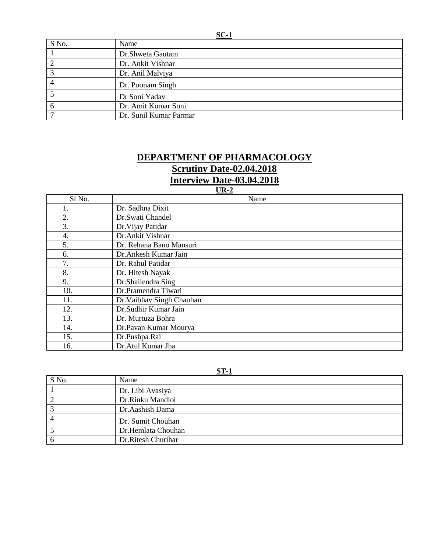| $SC-1$ |                        |
|--------|------------------------|
| S No.  | Name                   |
|        | Dr.Shweta Gautam       |
| ⌒      | Dr. Ankit Vishnar      |
| ⌒      | Dr. Anil Malviya       |
|        | Dr. Poonam Singh       |
|        | Dr Soni Yadav          |
| h      | Dr. Amit Kumar Soni    |
|        | Dr. Sunil Kumar Parmar |

## **DEPARTMENT OF PHARMACOLOGY Scrutiny Date-02.04.2018 Interview Date-03.04.2018**

## **UR-2**

| Sl No. | Name                      |
|--------|---------------------------|
|        | Dr. Sadhna Dixit          |
| 2.     | Dr.Swati Chandel          |
| 3.     | Dr. Vijay Patidar         |
| 4.     | Dr.Ankit Vishnar          |
| 5.     | Dr. Rehana Bano Mansuri   |
| 6.     | Dr. Ankesh Kumar Jain     |
| 7.     | Dr. Rahul Patidar         |
| 8.     | Dr. Hitesh Nayak          |
| 9.     | Dr.Shailendra Sing        |
| 10.    | Dr.Pramendra Tiwari       |
| 11.    | Dr. Vaibhav Singh Chauhan |
| 12.    | Dr.Sudhir Kumar Jain      |
| 13.    | Dr. Murtuza Bohra         |
| 14.    | Dr.Pavan Kumar Mourya     |
| 15.    | Dr.Pushpa Rai             |
| 16.    | Dr.Atul Kumar Jha         |

#### **ST-1**

| S No. | Name               |
|-------|--------------------|
|       | Dr. Libi Avasiya   |
|       | Dr.Rinku Mandloi   |
|       | Dr.Aashish Dama    |
|       | Dr. Sumit Chouhan  |
|       | Dr.Hemlata Chouhan |
|       | Dr.Ritesh Churihar |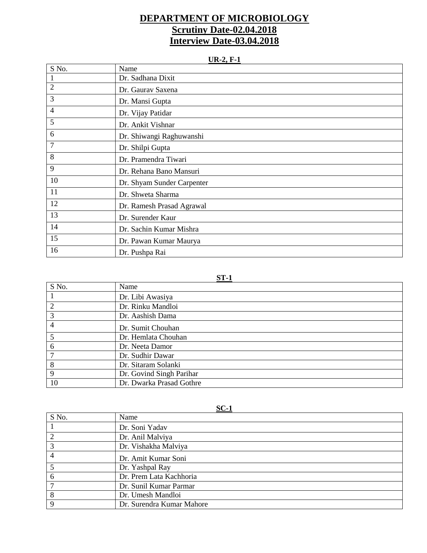## **DEPARTMENT OF MICROBIOLOGY Scrutiny Date-02.04.2018 Interview Date-03.04.2018**

**UR-2, F-1**

| S No.          | Name                       |
|----------------|----------------------------|
| $\mathbf{1}$   | Dr. Sadhana Dixit          |
| $\overline{2}$ | Dr. Gaurav Saxena          |
| 3              | Dr. Mansi Gupta            |
| 4              | Dr. Vijay Patidar          |
| 5              | Dr. Ankit Vishnar          |
| 6              | Dr. Shiwangi Raghuwanshi   |
| 7              | Dr. Shilpi Gupta           |
| 8              | Dr. Pramendra Tiwari       |
| 9              | Dr. Rehana Bano Mansuri    |
| 10             | Dr. Shyam Sunder Carpenter |
| 11             | Dr. Shweta Sharma          |
| 12             | Dr. Ramesh Prasad Agrawal  |
| 13             | Dr. Surender Kaur          |
| 14             | Dr. Sachin Kumar Mishra    |
| 15             | Dr. Pawan Kumar Maurya     |
| 16             | Dr. Pushpa Rai             |

#### **ST-1**

| S No. | Name                     |
|-------|--------------------------|
|       | Dr. Libi Awasiya         |
|       | Dr. Rinku Mandloi        |
| 3     | Dr. Aashish Dama         |
|       | Dr. Sumit Chouhan        |
|       | Dr. Hemlata Chouhan      |
| 6     | Dr. Neeta Damor          |
|       | Dr. Sudhir Dawar         |
| 8     | Dr. Sitaram Solanki      |
| 9     | Dr. Govind Singh Parihar |
| 10    | Dr. Dwarka Prasad Gothre |

**SC-1**

| S No.          | Name                      |
|----------------|---------------------------|
|                | Dr. Soni Yadav            |
| $\overline{2}$ | Dr. Anil Malviya          |
| 3              | Dr. Vishakha Malviya      |
| 4              | Dr. Amit Kumar Soni       |
|                | Dr. Yashpal Ray           |
| 6              | Dr. Prem Lata Kachhoria   |
|                | Dr. Sunil Kumar Parmar    |
| 8              | Dr. Umesh Mandloi         |
| Q              | Dr. Surendra Kumar Mahore |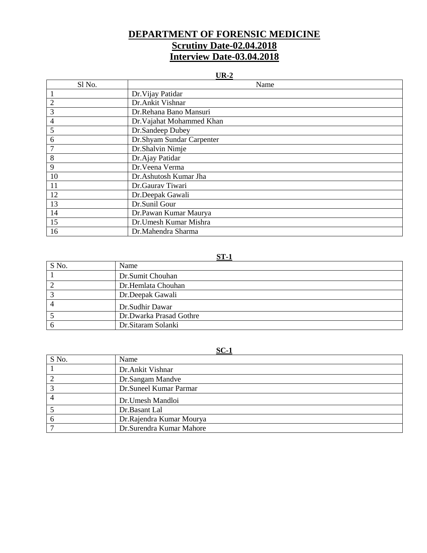## **DEPARTMENT OF FORENSIC MEDICINE Scrutiny Date-02.04.2018 Interview Date-03.04.2018**

#### **UR-2**

| Sl No.         | Name                      |
|----------------|---------------------------|
|                | Dr. Vijay Patidar         |
| $\overline{2}$ | Dr.Ankit Vishnar          |
| 3              | Dr.Rehana Bano Mansuri    |
| 4              | Dr. Vajahat Mohammed Khan |
| 5              | Dr.Sandeep Dubey          |
| 6              | Dr.Shyam Sundar Carpenter |
|                | Dr.Shalvin Nimje          |
| 8              | Dr.Ajay Patidar           |
| 9              | Dr. Veena Verma           |
| 10             | Dr.Ashutosh Kumar Jha     |
| 11             | Dr.Gaurav Tiwari          |
| 12             | Dr.Deepak Gawali          |
| 13             | Dr.Sunil Gour             |
| 14             | Dr.Pawan Kumar Maurya     |
| 15             | Dr.Umesh Kumar Mishra     |
| 16             | Dr.Mahendra Sharma        |

#### **ST-1**

| S No. | Name                    |
|-------|-------------------------|
|       | Dr.Sumit Chouhan        |
|       | Dr.Hemlata Chouhan      |
|       | Dr.Deepak Gawali        |
|       | Dr.Sudhir Dawar         |
|       | Dr.Dwarka Prasad Gothre |
|       | Dr. Sitaram Solanki     |

#### **SC-1**

| S No. | Name                     |
|-------|--------------------------|
|       | Dr.Ankit Vishnar         |
|       | Dr.Sangam Mandve         |
|       | Dr.Suneel Kumar Parmar   |
|       | Dr.Umesh Mandloi         |
|       | Dr.Basant Lal            |
|       | Dr.Rajendra Kumar Mourya |
|       | Dr.Surendra Kumar Mahore |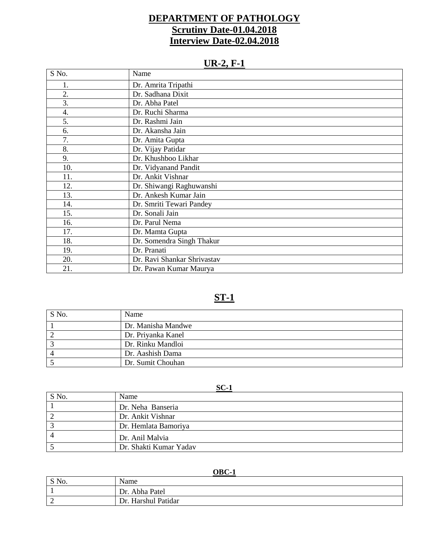## **DEPARTMENT OF PATHOLOGY Scrutiny Date-01.04.2018 Interview Date-02.04.2018**

# **UR-2, F-1**

| S No. | Name                        |
|-------|-----------------------------|
| 1.    | Dr. Amrita Tripathi         |
| 2.    | Dr. Sadhana Dixit           |
| 3.    | Dr. Abha Patel              |
| 4.    | Dr. Ruchi Sharma            |
| 5.    | Dr. Rashmi Jain             |
| 6.    | Dr. Akansha Jain            |
| 7.    | Dr. Amita Gupta             |
| 8.    | Dr. Vijay Patidar           |
| 9.    | Dr. Khushboo Likhar         |
| 10.   | Dr. Vidyanand Pandit        |
| 11.   | Dr. Ankit Vishnar           |
| 12.   | Dr. Shiwangi Raghuwanshi    |
| 13.   | Dr. Ankesh Kumar Jain       |
| 14.   | Dr. Smriti Tewari Pandey    |
| 15.   | Dr. Sonali Jain             |
| 16.   | Dr. Parul Nema              |
| 17.   | Dr. Mamta Gupta             |
| 18.   | Dr. Somendra Singh Thakur   |
| 19.   | Dr. Pranati                 |
| 20.   | Dr. Ravi Shankar Shrivastav |
| 21.   | Dr. Pawan Kumar Maurya      |

# **ST-1**

| S No. | Name               |
|-------|--------------------|
|       | Dr. Manisha Mandwe |
|       | Dr. Priyanka Kanel |
|       | Dr. Rinku Mandloi  |
|       | Dr. Aashish Dama   |
|       | Dr. Sumit Chouhan  |

### **SC-1**

| S No. | Name                   |
|-------|------------------------|
|       | Dr. Neha Banseria      |
|       | Dr. Ankit Vishnar      |
|       | Dr. Hemlata Bamoriya   |
|       | Dr. Anil Malvia        |
|       | Dr. Shakti Kumar Yadav |

#### **OBC-1**

| S No. | Name                   |
|-------|------------------------|
|       | :. Abha Patel<br>Dr.   |
| ∼     | Harshul Patidar<br>Dr. |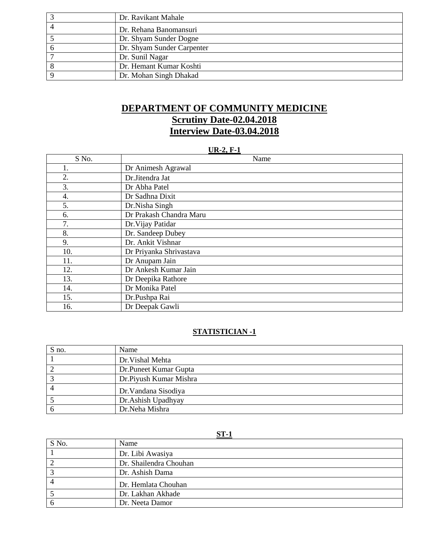| Dr. Ravikant Mahale        |
|----------------------------|
| Dr. Rehana Banomansuri     |
| Dr. Shyam Sunder Dogne     |
| Dr. Shyam Sunder Carpenter |
| Dr. Sunil Nagar            |
| Dr. Hemant Kumar Koshti    |
| Dr. Mohan Singh Dhakad     |

## **DEPARTMENT OF COMMUNITY MEDICINE Scrutiny Date-02.04.2018 Interview Date-03.04.2018**

#### **UR-2, F-1**

| S No. | Name                    |
|-------|-------------------------|
| Ī.    | Dr Animesh Agrawal      |
| 2.    | Dr.Jitendra Jat         |
| 3.    | Dr Abha Patel           |
| 4.    | Dr Sadhna Dixit         |
| 5.    | Dr.Nisha Singh          |
| 6.    | Dr Prakash Chandra Maru |
| 7.    | Dr. Vijay Patidar       |
| 8.    | Dr. Sandeep Dubey       |
| 9.    | Dr. Ankit Vishnar       |
| 10.   | Dr Priyanka Shrivastava |
| 11.   | Dr Anupam Jain          |
| 12.   | Dr Ankesh Kumar Jain    |
| 13.   | Dr Deepika Rathore      |
| 14.   | Dr Monika Patel         |
| 15.   | Dr.Pushpa Rai           |
| 16.   | Dr Deepak Gawli         |

#### **STATISTICIAN -1**

| S no. | Name                   |
|-------|------------------------|
|       | Dr. Vishal Mehta       |
|       | Dr.Puneet Kumar Gupta  |
|       | Dr.Piyush Kumar Mishra |
|       | Dr. Vandana Sisodiya   |
|       | Dr.Ashish Upadhyay     |
|       | Dr.Neha Mishra         |

#### **ST-1**

| S No. | Name                   |
|-------|------------------------|
|       | Dr. Libi Awasiya       |
|       | Dr. Shailendra Chouhan |
|       | Dr. Ashish Dama        |
|       | Dr. Hemlata Chouhan    |
|       | Dr. Lakhan Akhade      |
|       | Dr. Neeta Damor        |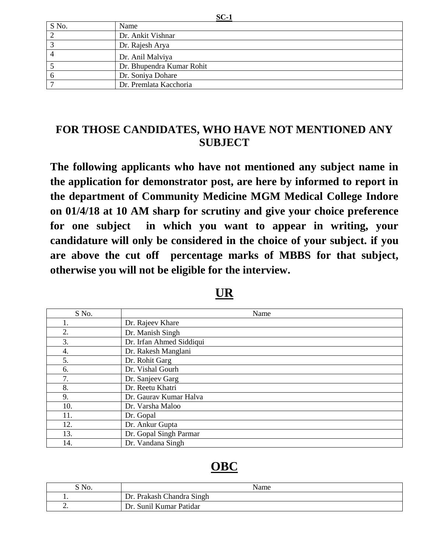| S No.          | $\sim$ $\sim$ $\sim$<br>Name |
|----------------|------------------------------|
| $\overline{2}$ | Dr. Ankit Vishnar            |
|                | Dr. Rajesh Arya              |
|                | Dr. Anil Malviya             |
|                | Dr. Bhupendra Kumar Rohit    |
| O              | Dr. Soniya Dohare            |
|                | Dr. Premlata Kacchoria       |

# **FOR THOSE CANDIDATES, WHO HAVE NOT MENTIONED ANY SUBJECT**

**The following applicants who have not mentioned any subject name in the application for demonstrator post, are here by informed to report in the department of Community Medicine MGM Medical College Indore on 01/4/18 at 10 AM sharp for scrutiny and give your choice preference for one subject in which you want to appear in writing, your candidature will only be considered in the choice of your subject. if you are above the cut off percentage marks of MBBS for that subject, otherwise you will not be eligible for the interview.**

| S No. | Name                     |
|-------|--------------------------|
|       | Dr. Rajeev Khare         |
| 2.    | Dr. Manish Singh         |
| 3.    | Dr. Irfan Ahmed Siddiqui |
| 4.    | Dr. Rakesh Manglani      |
| 5.    | Dr. Rohit Garg           |
| 6.    | Dr. Vishal Gourh         |
| 7.    | Dr. Sanjeev Garg         |
| 8.    | Dr. Reetu Khatri         |
| 9.    | Dr. Gaurav Kumar Halva   |
| 10.   | Dr. Varsha Maloo         |
| 11.   | Dr. Gopal                |
| 12.   | Dr. Ankur Gupta          |
| 13.   | Dr. Gopal Singh Parmar   |
| 14.   | Dr. Vandana Singh        |

# **OBC**

| $S$ No.  | Name                       |
|----------|----------------------------|
|          | Dr. Prakash Chandra Singh  |
| <u>.</u> | Sunil Kumar Patidar<br>Dr. |

**SC-1**